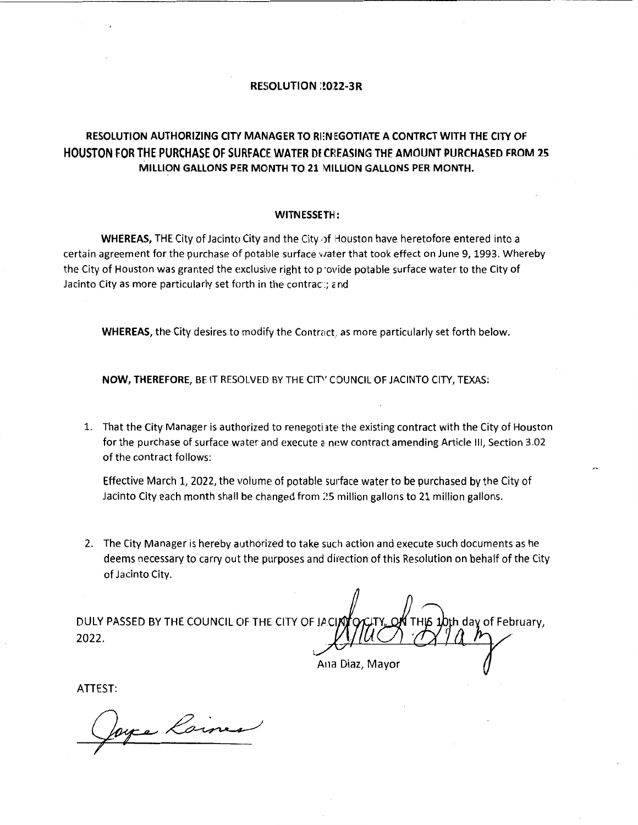## **RESOLUTION : 2022-3R**

## **RESOLUTION AUTHORIZING CITY MANAGER TO Rl:N EGOTIATE A CONTRCT WITH THE CITY OF HOUSTON FOR THE PURCHASE OF SURFACE WATER DECREASING THE AMOUNT PURCHASED FROM 25 MILLION GALLONS PER MONTH TO 21 MILLION GALLONS PER MONTH.**

## **WITN ESSETH:**

**WHEREAS,** THE City of Jacinto City and the City of Houston have heretofore entered into a certain agreement for the purchase of potable surface water that took effect on June 9, 1993. Whereby the City of Houston was granted the exclusive right to p ·ovide potable surface water to the City of Jacinto City as more particularly set forth in the contrac:; and

**WHEREAS, the City desires to modify the Contract, as more particularly set forth below.** 

**NOW, THEREFORE,** BE IT RESOLVED BY THE CIT'' COUNCIL OF JACINTO CITY, TEXAS:

1. That the City Manager is authorized to renegoti 3te the existing contract with the City of Houston for the purchase of surface water and execute a new contract amending Article III, Section 3.02 of the contract follows:

Effective March 1, 2022, the volume of potable surface water to be purchased by the City of Jacinto City each month shall be changed from 25 million gallons to 21 million gallons.

2. The City Manager is hereby authorized to take such action and execute such documents as he deems necessary to carry out the purposes and direction of this Resolution on behalf of the City of Jacinto City.

DULY PASSED BY THE COUNCIL OF THE CITY OF JACIAL bth day of February, 2022.

Ana Diaz, Mayor

ATTEST:

ryce Laines